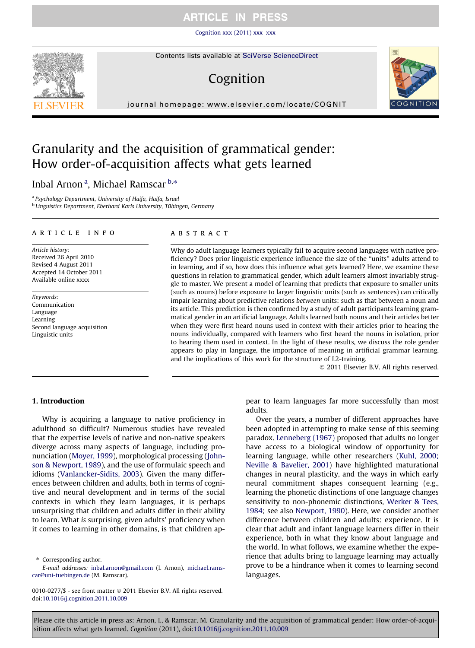[Cognition xxx \(2011\) xxx–xxx](http://dx.doi.org/10.1016/j.cognition.2011.10.009)



Contents lists available at [SciVerse ScienceDirect](http://www.sciencedirect.com/science/journal/00100277)

# Cognition



journal homepage: [www.elsevier.com/locate/COGNIT](http://www.elsevier.com/locate/COGNIT)

# Granularity and the acquisition of grammatical gender: How order-of-acquisition affects what gets learned

## Inbal Arnon <sup>a</sup>, Michael Ramscar <sup>b,</sup>\*

<sup>a</sup> Psychology Department, University of Haifa, Haifa, Israel <sup>b</sup> Linguistics Department, Eberhard Karls University, Tübingen, Germany

#### article info

Article history: Received 26 April 2010 Revised 4 August 2011 Accepted 14 October 2011 Available online xxxx

Keywords: Communication Language Learning Second language acquisition Linguistic units

#### **ABSTRACT**

Why do adult language learners typically fail to acquire second languages with native proficiency? Does prior linguistic experience influence the size of the ''units'' adults attend to in learning, and if so, how does this influence what gets learned? Here, we examine these questions in relation to grammatical gender, which adult learners almost invariably struggle to master. We present a model of learning that predicts that exposure to smaller units (such as nouns) before exposure to larger linguistic units (such as sentences) can critically impair learning about predictive relations between units: such as that between a noun and its article. This prediction is then confirmed by a study of adult participants learning grammatical gender in an artificial language. Adults learned both nouns and their articles better when they were first heard nouns used in context with their articles prior to hearing the nouns individually, compared with learners who first heard the nouns in isolation, prior to hearing them used in context. In the light of these results, we discuss the role gender appears to play in language, the importance of meaning in artificial grammar learning, and the implications of this work for the structure of L2-training.

- 2011 Elsevier B.V. All rights reserved.

#### 1. Introduction

Why is acquiring a language to native proficiency in adulthood so difficult? Numerous studies have revealed that the expertise levels of native and non-native speakers diverge across many aspects of language, including pronunciation [\(Moyer, 1999](#page-12-0)), morphological processing ([John](#page-11-0)[son & Newport, 1989\)](#page-11-0), and the use of formulaic speech and idioms [\(Vanlancker-Sidits, 2003\)](#page-12-0). Given the many differences between children and adults, both in terms of cognitive and neural development and in terms of the social contexts in which they learn languages, it is perhaps unsurprising that children and adults differ in their ability to learn. What is surprising, given adults' proficiency when it comes to learning in other domains, is that children ap-

⇑ Corresponding author.

pear to learn languages far more successfully than most adults.

Over the years, a number of different approaches have been adopted in attempting to make sense of this seeming paradox. [Lenneberg \(1967\)](#page-11-0) proposed that adults no longer have access to a biological window of opportunity for learning language, while other researchers ([Kuhl, 2000;](#page-11-0) [Neville & Bavelier, 2001\)](#page-11-0) have highlighted maturational changes in neural plasticity, and the ways in which early neural commitment shapes consequent learning (e.g., learning the phonetic distinctions of one language changes sensitivity to non-phonemic distinctions, [Werker & Tees,](#page-13-0) [1984;](#page-13-0) see also [Newport, 1990](#page-12-0)). Here, we consider another difference between children and adults: experience. It is clear that adult and infant language learners differ in their experience, both in what they know about language and the world. In what follows, we examine whether the experience that adults bring to language learning may actually prove to be a hindrance when it comes to learning second languages.

E-mail addresses: [inbal.arnon@gmail.com](mailto:inbal.arnon@gmail.com) (I. Arnon), [michael.rams](mailto:michael.ramscar@uni-tuebingen.de)[car@uni-tuebingen.de](mailto:michael.ramscar@uni-tuebingen.de) (M. Ramscar).

<sup>0010-0277/\$ -</sup> see front matter © 2011 Elsevier B.V. All rights reserved. doi:[10.1016/j.cognition.2011.10.009](http://dx.doi.org/10.1016/j.cognition.2011.10.009)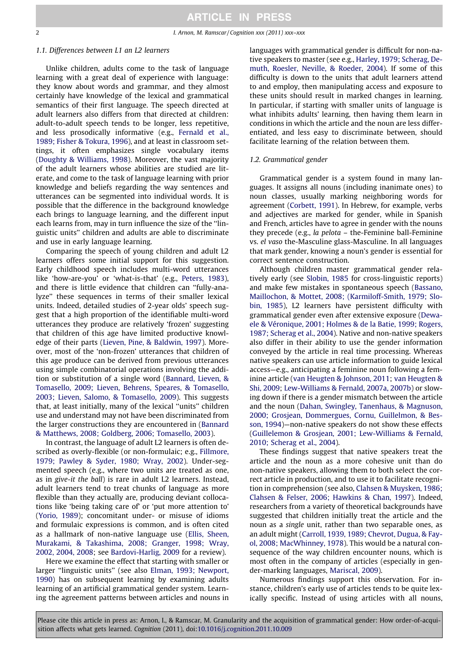### 1.1. Differences between L1 an L2 learners

Unlike children, adults come to the task of language learning with a great deal of experience with language: they know about words and grammar, and they almost certainly have knowledge of the lexical and grammatical semantics of their first language. The speech directed at adult learners also differs from that directed at children: adult-to-adult speech tends to be longer, less repetitive, and less prosodically informative (e.g., [Fernald et al.,](#page-11-0) [1989; Fisher & Tokura, 1996\)](#page-11-0), and at least in classroom settings, it often emphasizes single vocabulary items [\(Doughty & Williams, 1998\)](#page-11-0). Moreover, the vast majority of the adult learners whose abilities are studied are literate, and come to the task of language learning with prior knowledge and beliefs regarding the way sentences and utterances can be segmented into individual words. It is possible that the difference in the background knowledge each brings to language learning, and the different input each learns from, may in turn influence the size of the ''linguistic units'' children and adults are able to discriminate and use in early language learning.

Comparing the speech of young children and adult L2 learners offers some initial support for this suggestion. Early childhood speech includes multi-word utterances like 'how-are-you' or 'what-is-that' (e.g., [Peters, 1983](#page-12-0)), and there is little evidence that children can ''fully-analyze'' these sequences in terms of their smaller lexical units. Indeed, detailed studies of 2-year olds' speech suggest that a high proportion of the identifiable multi-word utterances they produce are relatively 'frozen' suggesting that children of this age have limited productive knowledge of their parts ([Lieven, Pine, & Baldwin, 1997](#page-12-0)). Moreover, most of the 'non-frozen' utterances that children of this age produce can be derived from previous utterances using simple combinatorial operations involving the addition or substitution of a single word [\(Bannard, Lieven, &](#page-10-0) [Tomasello, 2009; Lieven, Behrens, Speares, & Tomasello,](#page-10-0) [2003; Lieven, Salomo, & Tomasello, 2009](#page-10-0)). This suggests that, at least initially, many of the lexical ''units'' children use and understand may not have been discriminated from the larger constructions they are encountered in ([Bannard](#page-10-0) [& Matthews, 2008; Goldberg, 2006; Tomasello, 2003\)](#page-10-0).

In contrast, the language of adult L2 learners is often described as overly-flexible (or non-formulaic; e.g., [Fillmore,](#page-11-0) [1979; Pawley & Syder, 1980; Wray, 2002](#page-11-0)). Under-segmented speech (e.g., where two units are treated as one, as in give-it the ball) is rare in adult L2 learners. Instead, adult learners tend to treat chunks of language as more flexible than they actually are, producing deviant collocations like 'being taking care of' or 'put more attention to' [\(Yorio, 1989\)](#page-13-0); concomitant under- or misuse of idioms and formulaic expressions is common, and is often cited as a hallmark of non-native language use ([Ellis, Sheen,](#page-11-0) [Murakami, & Takashima, 2008; Granger, 1998; Wray,](#page-11-0) [2002, 2004, 2008;](#page-11-0) see [Bardovi-Harlig, 2009](#page-11-0) for a review).

Here we examine the effect that starting with smaller or larger ''linguistic units'' (see also [Elman, 1993; Newport,](#page-11-0) [1990](#page-11-0)) has on subsequent learning by examining adults learning of an artificial grammatical gender system. Learning the agreement patterns between articles and nouns in

languages with grammatical gender is difficult for non-native speakers to master (see e.g., [Harley, 1979; Scherag, De](#page-11-0)[muth, Roesler, Neville, & Roeder, 2004](#page-11-0)). If some of this difficulty is down to the units that adult learners attend to and employ, then manipulating access and exposure to these units should result in marked changes in learning. In particular, if starting with smaller units of language is what inhibits adults' learning, then having them learn in conditions in which the article and the noun are less differentiated, and less easy to discriminate between, should facilitate learning of the relation between them.

## 1.2. Grammatical gender

Grammatical gender is a system found in many languages. It assigns all nouns (including inanimate ones) to noun classes, usually marking neighboring words for agreement [\(Corbett, 1991](#page-11-0)). In Hebrew, for example, verbs and adjectives are marked for gender, while in Spanish and French, articles have to agree in gender with the nouns they precede (e.g., la pelota – the-Feminine ball-Feminine vs. el vaso the-Masculine glass-Masculine. In all languages that mark gender, knowing a noun's gender is essential for correct sentence construction.

Although children master grammatical gender relatively early (see [Slobin, 1985](#page-12-0) for cross-linguistic reports) and make few mistakes in spontaneous speech [\(Bassano,](#page-11-0) [Maillochon, & Mottet, 2008; \(Karmiloff-Smith, 1979; Slo](#page-11-0)[bin, 1985\)](#page-11-0), L2 learners have persistent difficulty with grammatical gender even after extensive exposure ([Dewa](#page-11-0)[ele & Véronique, 2001; Holmes & de la Batie, 1999; Rogers,](#page-11-0) [1987; Scherag et al., 2004](#page-11-0)). Native and non-native speakers also differ in their ability to use the gender information conveyed by the article in real time processing. Whereas native speakers can use article information to guide lexical access—e.g., anticipating a feminine noun following a feminine article [\(van Heugten & Johnson, 2011;](#page-11-0) [van Heugten &](#page-11-0) [Shi, 2009;](#page-11-0) [Lew-Williams & Fernald, 2007a, 2007b](#page-11-0)) or slowing down if there is a gender mismatch between the article and the noun ([Dahan, Swingley, Tanenhaus, & Magnuson,](#page-11-0) [2000; Grosjean, Dommergues, Cornu, Guillelmon, & Bes](#page-11-0)[son, 1994\)](#page-11-0)—non-native speakers do not show these effects [\(Guillelemon & Grosjean, 2001; Lew-Williams & Fernald,](#page-11-0) [2010; Scherag et al., 2004\)](#page-11-0).

These findings suggest that native speakers treat the article and the noun as a more cohesive unit than do non-native speakers, allowing them to both select the correct article in production, and to use it to facilitate recognition in comprehension (see also, [Clahsen & Muysken, 1986;](#page-11-0) [Clahsen & Felser, 2006; Hawkins & Chan, 1997](#page-11-0)). Indeed, researchers from a variety of theoretical backgrounds have suggested that children initially treat the article and the noun as a single unit, rather than two separable ones, as an adult might [\(Carroll, 1939, 1989; Chevrot, Dugua, & Fay](#page-11-0)[ol, 2008; MacWhinney, 1978](#page-11-0)). This would be a natural consequence of the way children encounter nouns, which is most often in the company of articles (especially in gender-marking languages, [Mariscal, 2009\)](#page-12-0).

Numerous findings support this observation. For instance, children's early use of articles tends to be quite lexically specific. Instead of using articles with all nouns,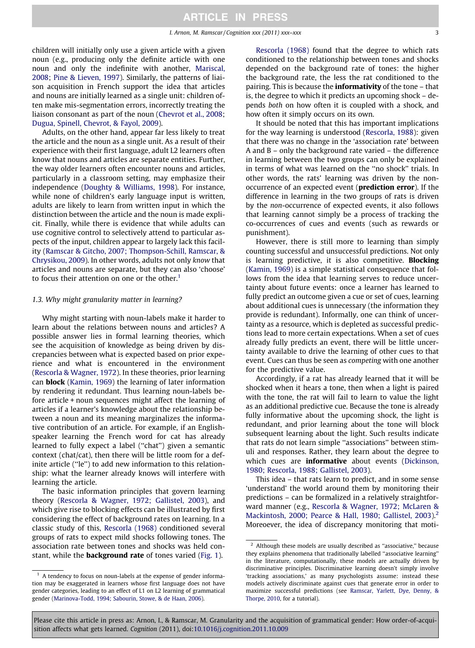children will initially only use a given article with a given noun (e.g., producing only the definite article with one noun and only the indefinite with another, [Mariscal,](#page-12-0) [2008;](#page-12-0) [Pine & Lieven, 1997](#page-12-0)). Similarly, the patterns of liaison acquisition in French support the idea that articles and nouns are initially learned as a single unit: children often make mis-segmentation errors, incorrectly treating the liaison consonant as part of the noun ([Chevrot et al., 2008](#page-11-0); [Dugua, Spinell, Chevrot, & Fayol, 2009\)](#page-11-0).

Adults, on the other hand, appear far less likely to treat the article and the noun as a single unit. As a result of their experience with their first language, adult L2 learners often know that nouns and articles are separate entities. Further, the way older learners often encounter nouns and articles, particularly in a classroom setting, may emphasize their independence [\(Doughty & Williams, 1998](#page-11-0)). For instance, while none of children's early language input is written, adults are likely to learn from written input in which the distinction between the article and the noun is made explicit. Finally, while there is evidence that while adults can use cognitive control to selectively attend to particular aspects of the input, children appear to largely lack this facility [\(Ramscar & Gitcho, 2007; Thompson-Schill, Ramscar, &](#page-12-0) [Chrysikou, 2009](#page-12-0)). In other words, adults not only know that articles and nouns are separate, but they can also 'choose' to focus their attention on one or the other.<sup>1</sup>

#### 1.3. Why might granularity matter in learning?

Why might starting with noun-labels make it harder to learn about the relations between nouns and articles? A possible answer lies in formal learning theories, which see the acquisition of knowledge as being driven by discrepancies between what is expected based on prior experience and what is encountered in the environment ([Rescorla & Wagner, 1972\)](#page-12-0). In these theories, prior learning can block [\(Kamin, 1969](#page-11-0)) the learning of later information by rendering it redundant. Thus learning noun-labels before article + noun sequences might affect the learning of articles if a learner's knowledge about the relationship between a noun and its meaning marginalizes the informative contribution of an article. For example, if an Englishspeaker learning the French word for cat has already learned to fully expect a label (''chat'') given a semantic context (chat/cat), then there will be little room for a definite article (''le'') to add new information to this relationship: what the learner already knows will interfere with learning the article.

The basic information principles that govern learning theory [\(Rescorla & Wagner, 1972; Gallistel, 2003\)](#page-12-0), and which give rise to blocking effects can be illustrated by first considering the effect of background rates on learning. In a classic study of this, [Rescorla \(1968\)](#page-12-0) conditioned several groups of rats to expect mild shocks following tones. The association rate between tones and shocks was held constant, while the **background rate** of tones varied [\(Fig. 1\)](#page-3-0).

[Rescorla \(1968\)](#page-12-0) found that the degree to which rats conditioned to the relationship between tones and shocks depended on the background rate of tones: the higher the background rate, the less the rat conditioned to the pairing. This is because the **informativity** of the tone – that is, the degree to which it predicts an upcoming shock – depends both on how often it is coupled with a shock, and how often it simply occurs on its own.

It should be noted that this has important implications for the way learning is understood [\(Rescorla, 1988](#page-12-0)): given that there was no change in the 'association rate' between A and B – only the background rate varied – the difference in learning between the two groups can only be explained in terms of what was learned on the ''no shock'' trials. In other words, the rats' learning was driven by the nonoccurrence of an expected event (prediction error). If the difference in learning in the two groups of rats is driven by the non-occurrence of expected events, it also follows that learning cannot simply be a process of tracking the co-occurrences of cues and events (such as rewards or punishment).

However, there is still more to learning than simply counting successful and unsuccessful predictions. Not only is learning predictive, it is also competitive. **Blocking** [\(Kamin, 1969](#page-11-0)) is a simple statistical consequence that follows from the idea that learning serves to reduce uncertainty about future events: once a learner has learned to fully predict an outcome given a cue or set of cues, learning about additional cues is unnecessary (the information they provide is redundant). Informally, one can think of uncertainty as a resource, which is depleted as successful predictions lead to more certain expectations. When a set of cues already fully predicts an event, there will be little uncertainty available to drive the learning of other cues to that event. Cues can thus be seen as competing with one another for the predictive value.

Accordingly, if a rat has already learned that it will be shocked when it hears a tone, then when a light is paired with the tone, the rat will fail to learn to value the light as an additional predictive cue. Because the tone is already fully informative about the upcoming shock, the light is redundant, and prior learning about the tone will block subsequent learning about the light. Such results indicate that rats do not learn simple ''associations'' between stimuli and responses. Rather, they learn about the degree to which cues are informative about events ([Dickinson,](#page-11-0) [1980; Rescorla, 1988; Gallistel, 2003](#page-11-0)).

This idea – that rats learn to predict, and in some sense 'understand' the world around them by monitoring their predictions – can be formalized in a relatively straightforward manner (e.g., [Rescorla & Wagner, 1972; McLaren &](#page-12-0) [Mackintosh, 2000; Pearce & Hall, 1980; Gallistel, 2003\)](#page-12-0).<sup>2</sup> Moreoever, the idea of discrepancy monitoring that moti-

 $1$  A tendency to focus on noun-labels at the expense of gender information may be exaggerated in learners whose first language does not have gender categories, leading to an effect of L1 on L2 learning of grammatical gender ([Marinova-Todd, 1994; Sabourin, Stowe, & de Haan, 2006\)](#page-12-0).

 $2$  Although these models are usually described as "associative," because they explains phenomena that traditionally labelled ''associative learning'' in the literature, computationally, these models are actually driven by discriminative principles. Discriminative learning doesn't simply involve 'tracking associations,' as many psychologists assume: instead these models actively discriminate against cues that generate error in order to maximize successful predictions (see [Ramscar, Yarlett, Dye, Denny, &](#page-12-0) [Thorpe, 2010,](#page-12-0) for a tutorial).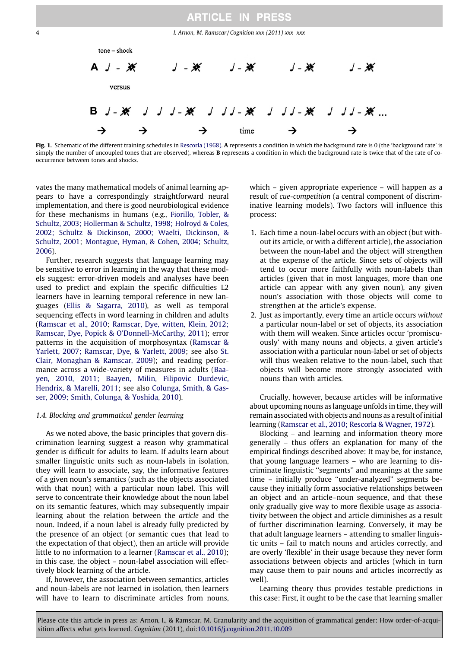<span id="page-3-0"></span>4 I. Arnon, M. Ramscar / Cognition xxx (2011) xxx–xxx



Fig. 1. Schematic of the different training schedules in [Rescorla \(1968\).](#page-12-0) A represents a condition in which the background rate is 0 (the 'background rate' is simply the number of uncoupled tones that are observed), whereas  $B$  represents a condition in which the background rate is twice that of the rate of cooccurrence between tones and shocks.

vates the many mathematical models of animal learning appears to have a correspondingly straightforward neural implementation, and there is good neurobiological evidence for these mechanisms in humans (e.g., [Fiorillo, Tobler, &](#page-11-0) [Schultz, 2003; Hollerman & Schultz, 1998; Holroyd & Coles,](#page-11-0) [2002; Schultz & Dickinson, 2000; Waelti, Dickinson, &](#page-11-0) [Schultz, 2001;](#page-11-0) [Montague, Hyman, & Cohen, 2004; Schultz,](#page-12-0) [2006\)](#page-12-0).

Further, research suggests that language learning may be sensitive to error in learning in the way that these models suggest: error-driven models and analyses have been used to predict and explain the specific difficulties L2 learners have in learning temporal reference in new languages [\(Ellis & Sagarra, 2010\)](#page-11-0), as well as temporal sequencing effects in word learning in children and adults [\(Ramscar et al., 2010;](#page-12-0) [Ramscar, Dye, witten, Klein, 2012;](#page-12-0) [Ramscar, Dye, Popick & O'Donnell-McCarthy, 2011\)](#page-12-0); error patterns in the acquisition of morphosyntax ([Ramscar &](#page-12-0) [Yarlett, 2007; Ramscar, Dye, & Yarlett, 2009;](#page-12-0) see also [St.](#page-11-0) [Clair, Monaghan & Ramscar, 2009](#page-11-0)); and reading performance across a wide-variety of measures in adults ([Baa](#page-10-0)[yen, 2010, 2011; Baayen, Milin, Filipovic Durdevic,](#page-10-0) [Hendrix, & Marelli, 2011;](#page-10-0) see also [Colunga, Smith, & Gas](#page-11-0)[ser, 2009; Smith, Colunga, & Yoshida, 2010\)](#page-11-0).

#### 1.4. Blocking and grammatical gender learning

As we noted above, the basic principles that govern discrimination learning suggest a reason why grammatical gender is difficult for adults to learn. If adults learn about smaller linguistic units such as noun-labels in isolation, they will learn to associate, say, the informative features of a given noun's semantics (such as the objects associated with that noun) with a particular noun label. This will serve to concentrate their knowledge about the noun label on its semantic features, which may subsequently impair learning about the relation between the article and the noun. Indeed, if a noun label is already fully predicted by the presence of an object (or semantic cues that lead to the expectation of that object), then an article will provide little to no information to a learner [\(Ramscar et al., 2010](#page-12-0)); in this case, the object – noun-label association will effectively block learning of the article.

If, however, the association between semantics, articles and noun-labels are not learned in isolation, then learners will have to learn to discriminate articles from nouns, which – given appropriate experience – will happen as a result of cue-competition (a central component of discriminative learning models). Two factors will influence this process:

- 1. Each time a noun-label occurs with an object (but without its article, or with a different article), the association between the noun-label and the object will strengthen at the expense of the article. Since sets of objects will tend to occur more faithfully with noun-labels than articles (given that in most languages, more than one article can appear with any given noun), any given noun's association with those objects will come to strengthen at the article's expense.
- 2. Just as importantly, every time an article occurs without a particular noun-label or set of objects, its association with them will weaken. Since articles occur 'promiscuously' with many nouns and objects, a given article's association with a particular noun-label or set of objects will thus weaken relative to the noun-label, such that objects will become more strongly associated with nouns than with articles.

Crucially, however, because articles will be informative about upcoming nouns as language unfolds in time, they will remain associated with objects and nouns as a result of initial learning ([Ramscar et al., 2010; Rescorla & Wagner, 1972\)](#page-12-0).

Blocking – and learning and information theory more generally – thus offers an explanation for many of the empirical findings described above: It may be, for instance, that young language learners – who are learning to discriminate linguistic ''segments'' and meanings at the same time – initially produce ''under-analyzed'' segments because they initially form associative relationships between an object and an article–noun sequence, and that these only gradually give way to more flexible usage as associativity between the object and article diminishes as a result of further discrimination learning. Conversely, it may be that adult language learners – attending to smaller linguistic units – fail to match nouns and articles correctly, and are overly 'flexible' in their usage because they never form associations between objects and articles (which in turn may cause them to pair nouns and articles incorrectly as well).

Learning theory thus provides testable predictions in this case: First, it ought to be the case that learning smaller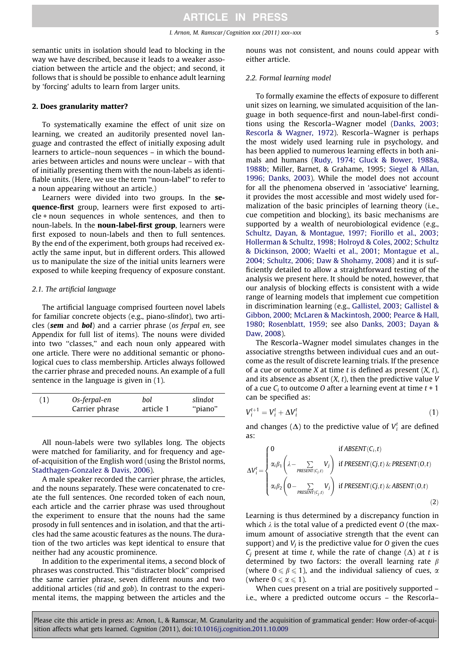semantic units in isolation should lead to blocking in the way we have described, because it leads to a weaker association between the article and the object; and second, it follows that is should be possible to enhance adult learning by 'forcing' adults to learn from larger units.

#### 2. Does granularity matter?

To systematically examine the effect of unit size on learning, we created an auditorily presented novel language and contrasted the effect of initially exposing adult learners to article–noun sequences – in which the boundaries between articles and nouns were unclear – with that of initially presenting them with the noun-labels as identifiable units. (Here, we use the term ''noun-label'' to refer to a noun appearing without an article.)

Learners were divided into two groups. In the sequence-first group, learners were first exposed to article + noun sequences in whole sentences, and then to noun-labels. In the noun-label-first group, learners were first exposed to noun-labels and then to full sentences. By the end of the experiment, both groups had received exactly the same input, but in different orders. This allowed us to manipulate the size of the initial units learners were exposed to while keeping frequency of exposure constant.

#### 2.1. The artificial language

The artificial language comprised fourteen novel labels for familiar concrete objects (e.g., piano-slindot), two articles (sem and bol) and a carrier phrase (os ferpal en, see Appendix for full list of items). The nouns were divided into two "classes," and each noun only appeared with one article. There were no additional semantic or phonological cues to class membership. Articles always followed the carrier phrase and preceded nouns. An example of a full sentence in the language is given in (1).

| (1) | Os-ferpal-en   | bol       | slindot |
|-----|----------------|-----------|---------|
|     | Carrier phrase | article 1 | "piano" |

All noun-labels were two syllables long. The objects were matched for familiarity, and for frequency and ageof-acquisition of the English word (using the Bristol norms, [Stadthagen-Gonzalez & Davis, 2006](#page-12-0)).

A male speaker recorded the carrier phrase, the articles, and the nouns separately. These were concatenated to create the full sentences. One recorded token of each noun, each article and the carrier phrase was used throughout the experiment to ensure that the nouns had the same prosody in full sentences and in isolation, and that the articles had the same acoustic features as the nouns. The duration of the two articles was kept identical to ensure that neither had any acoustic prominence.

In addition to the experimental items, a second block of phrases was constructed. This ''distracter block'' comprised the same carrier phrase, seven different nouns and two additional articles (tid and gob). In contrast to the experimental items, the mapping between the articles and the nouns was not consistent, and nouns could appear with either article.

#### 2.2. Formal learning model

To formally examine the effects of exposure to different unit sizes on learning, we simulated acquisition of the language in both sequence-first and noun-label-first conditions using the Rescorla–Wagner model [\(Danks, 2003;](#page-11-0) [Rescorla & Wagner, 1972\)](#page-11-0). Rescorla–Wagner is perhaps the most widely used learning rule in psychology, and has been applied to numerous learning effects in both animals and humans [\(Rudy, 1974; Gluck & Bower, 1988a,](#page-12-0) [1988b;](#page-12-0) Miller, Barnet, & Grahame, 1995; [Siegel & Allan,](#page-12-0) [1996; Danks, 2003\)](#page-12-0). While the model does not account for all the phenomena observed in 'associative' learning, it provides the most accessible and most widely used formalization of the basic principles of learning theory (i.e., cue competition and blocking), its basic mechanisms are supported by a wealth of neurobiological evidence (e.g., [Schultz, Dayan, & Montague, 1997; Fiorillo et al., 2003;](#page-12-0) [Hollerman & Schultz, 1998; Holroyd & Coles, 2002; Schultz](#page-12-0) [& Dickinson, 2000; Waelti et al., 2001;](#page-12-0) [Montague et al.,](#page-12-0) [2004; Schultz, 2006; Daw & Shohamy, 2008](#page-12-0)) and it is sufficiently detailed to allow a straightforward testing of the analysis we present here. It should be noted, however, that our analysis of blocking effects is consistent with a wide range of learning models that implement cue competition in discrimination learning (e.g., [Gallistel, 2003](#page-11-0); [Gallistel &](#page-11-0) [Gibbon, 2000](#page-11-0); [McLaren & Mackintosh, 2000; Pearce & Hall,](#page-12-0) [1980;](#page-12-0) [Rosenblatt, 1959;](#page-12-0) see also [Danks, 2003; Dayan &](#page-11-0) [Daw, 2008](#page-11-0)).

The Rescorla–Wagner model simulates changes in the associative strengths between individual cues and an outcome as the result of discrete learning trials. If the presence of a cue or outcome  $X$  at time  $t$  is defined as present  $(X, t)$ , and its absence as absent  $(X, t)$ , then the predictive value  $V$ of a cue  $C_i$  to outcome O after a learning event at time  $t + 1$ can be specified as:

$$
V_i^{t+1} = V_i^t + \Delta V_i^t \tag{1}
$$

and changes ( $\Delta$ ) to the predictive value of  $V_i^t$  are defined as:

$$
\Delta V_i^t = \begin{cases} 0 & \text{if ABSENT}(C_i, t) \\ \alpha_i \beta_1 \left(\lambda - \sum_{PRESENT(C_j, t)} V_j\right) & \text{if } PRESENT(Cj, t) \& PRESENT(O, t) \\ \alpha_i \beta_2 \left(0 - \sum_{PRESENT(C_j, t)} V_j\right) & \text{if } PRESENT(Gj, t) \& ABSENT(O, t) \end{cases}
$$
(2)

Learning is thus determined by a discrepancy function in which  $\lambda$  is the total value of a predicted event O (the maximum amount of associative strength that the event can support) and  $V_i$  is the predictive value for O given the cues  $C_i$  present at time t, while the rate of change ( $\Delta$ ) at t is determined by two factors: the overall learning rate  $\beta$ (where  $0 \le \beta \le 1$ ), and the individual saliency of cues,  $\alpha$ (where  $0 \le \alpha \le 1$ ).

When cues present on a trial are positively supported – i.e., where a predicted outcome occurs – the Rescorla–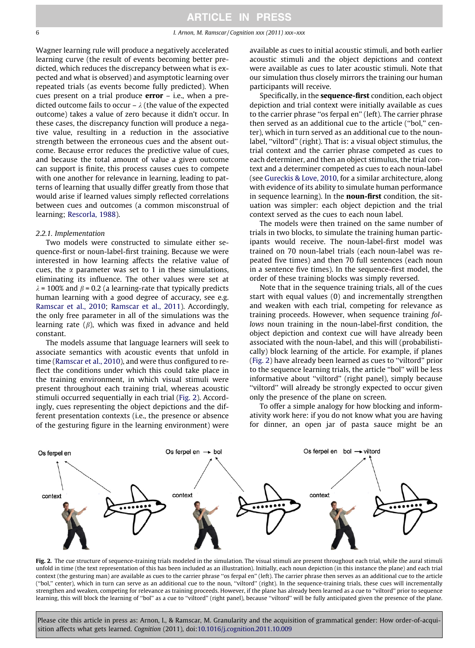Wagner learning rule will produce a negatively accelerated learning curve (the result of events becoming better predicted, which reduces the discrepancy between what is expected and what is observed) and asymptotic learning over repeated trials (as events become fully predicted). When cues present on a trial produce  $error - i.e.,$  when a predicted outcome fails to occur –  $\lambda$  (the value of the expected outcome) takes a value of zero because it didn't occur. In these cases, the discrepancy function will produce a negative value, resulting in a reduction in the associative strength between the erroneous cues and the absent outcome. Because error reduces the predictive value of cues, and because the total amount of value a given outcome can support is finite, this process causes cues to compete with one another for relevance in learning, leading to patterns of learning that usually differ greatly from those that would arise if learned values simply reflected correlations between cues and outcomes (a common misconstrual of learning; [Rescorla, 1988\)](#page-12-0).

#### 2.2.1. Implementation

Two models were constructed to simulate either sequence-first or noun-label-first training. Because we were interested in how learning affects the relative value of cues, the  $\alpha$  parameter was set to 1 in these simulations, eliminating its influence. The other values were set at  $\lambda$  = 100% and  $\beta$  = 0.2 (a learning-rate that typically predicts human learning with a good degree of accuracy, see e.g. [Ramscar et al., 2010;](#page-12-0) [Ramscar et al., 2011](#page-12-0)). Accordingly, the only free parameter in all of the simulations was the learning rate  $(\beta)$ , which was fixed in advance and held constant.

The models assume that language learners will seek to associate semantics with acoustic events that unfold in time [\(Ramscar et al., 2010\)](#page-12-0), and were thus configured to reflect the conditions under which this could take place in the training environment, in which visual stimuli were present throughout each training trial, whereas acoustic stimuli occurred sequentially in each trial (Fig. 2). Accordingly, cues representing the object depictions and the different presentation contexts (i.e., the presence or absence of the gesturing figure in the learning environment) were

available as cues to initial acoustic stimuli, and both earlier acoustic stimuli and the object depictions and context were available as cues to later acoustic stimuli. Note that our simulation thus closely mirrors the training our human participants will receive.

Specifically, in the **sequence-first** condition, each object depiction and trial context were initially available as cues to the carrier phrase ''os ferpal en'' (left). The carrier phrase then served as an additional cue to the article (''bol,'' center), which in turn served as an additional cue to the nounlabel, "viltord" (right). That is: a visual object stimulus, the trial context and the carrier phrase competed as cues to each determiner, and then an object stimulus, the trial context and a determiner competed as cues to each noun-label (see [Gureckis & Love, 2010](#page-11-0), for a similar architecture, along with evidence of its ability to simulate human performance in sequence learning). In the **noun-first** condition, the situation was simpler: each object depiction and the trial context served as the cues to each noun label.

The models were then trained on the same number of trials in two blocks, to simulate the training human participants would receive. The noun-label-first model was trained on 70 noun-label trials (each noun-label was repeated five times) and then 70 full sentences (each noun in a sentence five times). In the sequence-first model, the order of these training blocks was simply reversed.

Note that in the sequence training trials, all of the cues start with equal values (0) and incrementally strengthen and weaken with each trial, competing for relevance as training proceeds. However, when sequence training follows noun training in the noun-label-first condition, the object depiction and context cue will have already been associated with the noun-label, and this will (probabilistically) block learning of the article. For example, if planes (Fig. 2) have already been learned as cues to ''viltord'' prior to the sequence learning trials, the article ''bol'' will be less informative about ''viltord'' (right panel), simply because ''viltord'' will already be strongly expected to occur given only the presence of the plane on screen.

To offer a simple analogy for how blocking and informativity work here: if you do not know what you are having for dinner, an open jar of pasta sauce might be an



Fig. 2. The cue structure of sequence-training trials modeled in the simulation. The visual stimuli are present throughout each trial, while the aural stimuli unfold in time (the text representation of this has been included as an illustration). Initially, each noun depiction (in this instance the plane) and each trial context (the gesturing man) are available as cues to the carrier phrase ''os ferpal en'' (left). The carrier phrase then serves as an additional cue to the article (''bol,'' center), which in turn can serve as an additional cue to the noun, ''viltord'' (right). In the sequence-training trials, these cues will incrementally strengthen and weaken, competing for relevance as training proceeds. However, if the plane has already been learned as a cue to ''viltord'' prior to sequence learning, this will block the learning of "bol" as a cue to "viltord" (right panel), because "viltord" will be fully anticipated given the presence of the plane.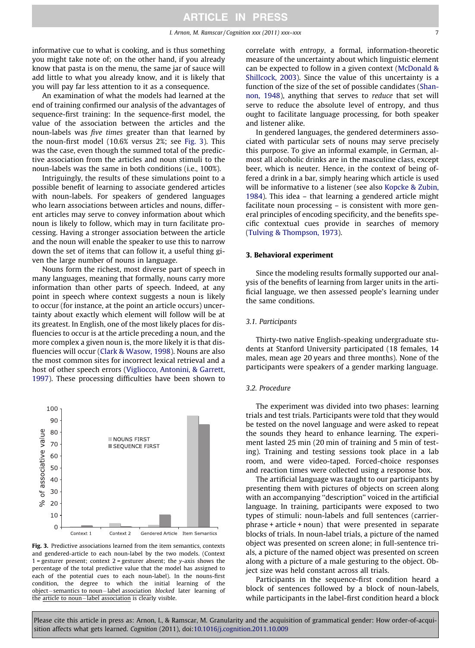informative cue to what is cooking, and is thus something you might take note of; on the other hand, if you already know that pasta is on the menu, the same jar of sauce will add little to what you already know, and it is likely that you will pay far less attention to it as a consequence.

An examination of what the models had learned at the end of training confirmed our analysis of the advantages of sequence-first training: In the sequence-first model, the value of the association between the articles and the noun-labels was five times greater than that learned by the noun-first model (10.6% versus 2%; see Fig. 3). This was the case, even though the summed total of the predictive association from the articles and noun stimuli to the noun-labels was the same in both conditions (i.e., 100%).

Intriguingly, the results of these simulations point to a possible benefit of learning to associate gendered articles with noun-labels. For speakers of gendered languages who learn associations between articles and nouns, different articles may serve to convey information about which noun is likely to follow, which may in turn facilitate processing. Having a stronger association between the article and the noun will enable the speaker to use this to narrow down the set of items that can follow it, a useful thing given the large number of nouns in language.

Nouns form the richest, most diverse part of speech in many languages, meaning that formally, nouns carry more information than other parts of speech. Indeed, at any point in speech where context suggests a noun is likely to occur (for instance, at the point an article occurs) uncertainty about exactly which element will follow will be at its greatest. In English, one of the most likely places for disfluencies to occur is at the article preceding a noun, and the more complex a given noun is, the more likely it is that disfluencies will occur ([Clark & Wasow, 1998\)](#page-11-0). Nouns are also the most common sites for incorrect lexical retrieval and a host of other speech errors ([Vigliocco, Antonini, & Garrett,](#page-12-0) [1997\)](#page-12-0). These processing difficulties have been shown to



Fig. 3. Predictive associations learned from the item semantics, contexts and gendered-article to each noun-label by the two models. (Context 1 = gesturer present; context 2 = gesturer absent; the y-axis shows the percentage of the total predictive value that the model has assigned to each of the potential cues to each noun-label). In the nouns-first condition, the degree to which the initial learning of the object–semantics to noun–label association *blocked* later learning of the <u>article to noun–label association</u> is clearly visible.

correlate with entropy, a formal, information-theoretic measure of the uncertainty about which linguistic element can be expected to follow in a given context [\(McDonald &](#page-12-0) [Shillcock, 2003\)](#page-12-0). Since the value of this uncertainty is a function of the size of the set of possible candidates [\(Shan](#page-12-0)[non, 1948](#page-12-0)), anything that serves to reduce that set will serve to reduce the absolute level of entropy, and thus ought to facilitate language processing, for both speaker and listener alike.

In gendered languages, the gendered determiners associated with particular sets of nouns may serve precisely this purpose. To give an informal example, in German, almost all alcoholic drinks are in the masculine class, except beer, which is neuter. Hence, in the context of being offered a drink in a bar, simply hearing which article is used will be informative to a listener (see also [Kopcke & Zubin,](#page-11-0) [1984\)](#page-11-0). This idea – that learning a gendered article might facilitate noun processing – is consistent with more general principles of encoding specificity, and the benefits specific contextual cues provide in searches of memory [\(Tulving & Thompson, 1973\)](#page-12-0).

#### 3. Behavioral experiment

Since the modeling results formally supported our analysis of the benefits of learning from larger units in the artificial language, we then assessed people's learning under the same conditions.

#### 3.1. Participants

Thirty-two native English-speaking undergraduate students at Stanford University participated (18 females, 14 males, mean age 20 years and three months). None of the participants were speakers of a gender marking language.

#### 3.2. Procedure

The experiment was divided into two phases: learning trials and test trials. Participants were told that they would be tested on the novel language and were asked to repeat the sounds they heard to enhance learning. The experiment lasted 25 min (20 min of training and 5 min of testing). Training and testing sessions took place in a lab room, and were video-taped. Forced-choice responses and reaction times were collected using a response box.

The artificial language was taught to our participants by presenting them with pictures of objects on screen along with an accompanying ''description'' voiced in the artificial language. In training, participants were exposed to two types of stimuli: noun-labels and full sentences (carrierphrase + article + noun) that were presented in separate blocks of trials. In noun-label trials, a picture of the named object was presented on screen alone; in full-sentence trials, a picture of the named object was presented on screen along with a picture of a male gesturing to the object. Object size was held constant across all trials.

Participants in the sequence-first condition heard a block of sentences followed by a block of noun-labels, while participants in the label-first condition heard a block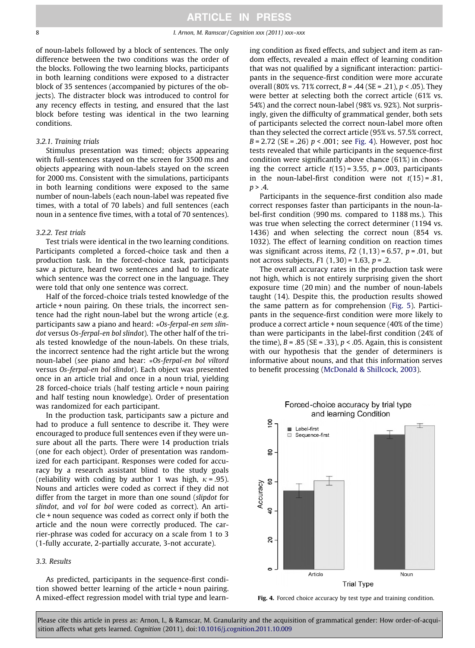of noun-labels followed by a block of sentences. The only difference between the two conditions was the order of the blocks. Following the two learning blocks, participants in both learning conditions were exposed to a distracter block of 35 sentences (accompanied by pictures of the objects). The distracter block was introduced to control for any recency effects in testing, and ensured that the last block before testing was identical in the two learning conditions.

#### 3.2.1. Training trials

Stimulus presentation was timed; objects appearing with full-sentences stayed on the screen for 3500 ms and objects appearing with noun-labels stayed on the screen for 2000 ms. Consistent with the simulations, participants in both learning conditions were exposed to the same number of noun-labels (each noun-label was repeated five times, with a total of 70 labels) and full sentences (each noun in a sentence five times, with a total of 70 sentences).

#### 3.2.2. Test trials

Test trials were identical in the two learning conditions. Participants completed a forced-choice task and then a production task. In the forced-choice task, participants saw a picture, heard two sentences and had to indicate which sentence was the correct one in the language. They were told that only one sentence was correct.

Half of the forced-choice trials tested knowledge of the article + noun pairing. On these trials, the incorrect sentence had the right noun-label but the wrong article (e.g. participants saw a piano and heard: \*Os-ferpal-en sem slindot versus Os-ferpal-en bol slindot). The other half of the trials tested knowledge of the noun-labels. On these trials, the incorrect sentence had the right article but the wrong noun-label (see piano and hear: \*Os-ferpal-en bol viltord versus Os-ferpal-en bol slindot). Each object was presented once in an article trial and once in a noun trial, yielding 28 forced-choice trials (half testing article + noun pairing and half testing noun knowledge). Order of presentation was randomized for each participant.

In the production task, participants saw a picture and had to produce a full sentence to describe it. They were encouraged to produce full sentences even if they were unsure about all the parts. There were 14 production trials (one for each object). Order of presentation was randomized for each participant. Responses were coded for accuracy by a research assistant blind to the study goals (reliability with coding by author 1 was high,  $\kappa = .95$ ). Nouns and articles were coded as correct if they did not differ from the target in more than one sound (slipdot for slindot, and vol for bol were coded as correct). An article + noun sequence was coded as correct only if both the article and the noun were correctly produced. The carrier-phrase was coded for accuracy on a scale from 1 to 3 (1-fully accurate, 2-partially accurate, 3-not accurate).

#### 3.3. Results

As predicted, participants in the sequence-first condition showed better learning of the article + noun pairing. A mixed-effect regression model with trial type and learning condition as fixed effects, and subject and item as random effects, revealed a main effect of learning condition that was not qualified by a significant interaction: participants in the sequence-first condition were more accurate overall (80% vs. 71% correct,  $B = .44$  (SE = .21),  $p < .05$ ). They were better at selecting both the correct article (61% vs. 54%) and the correct noun-label (98% vs. 92%). Not surprisingly, given the difficulty of grammatical gender, both sets of participants selected the correct noun-label more often than they selected the correct article (95% vs. 57.5% correct,  $B = 2.72$  (SE = .26)  $p < .001$ ; see Fig. 4). However, post hoc tests revealed that while participants in the sequence-first condition were significantly above chance (61%) in choosing the correct article  $t(15) = 3.55$ ,  $p = .003$ , participants in the noun-label-first condition were not  $t(15) = .81$ ,  $p > .4$ .

Participants in the sequence-first condition also made correct responses faster than participants in the noun-label-first condition (990 ms. compared to 1188 ms.). This was true when selecting the correct determiner (1194 vs. 1436) and when selecting the correct noun (854 vs. 1032). The effect of learning condition on reaction times was significant across items,  $F2(1,13) = 6.57$ ,  $p = .01$ , but not across subjects,  $F1(1,30) = 1.63$ ,  $p = .2$ .

The overall accuracy rates in the production task were not high, which is not entirely surprising given the short exposure time (20 min) and the number of noun-labels taught (14). Despite this, the production results showed the same pattern as for comprehension [\(Fig. 5](#page-8-0)). Participants in the sequence-first condition were more likely to produce a correct article + noun sequence (40% of the time) than were participants in the label-first condition (24% of the time),  $B = .85$  (SE = .33),  $p < .05$ . Again, this is consistent with our hypothesis that the gender of determiners is informative about nouns, and that this information serves to benefit processing [\(McDonald & Shillcock, 2003\)](#page-12-0).



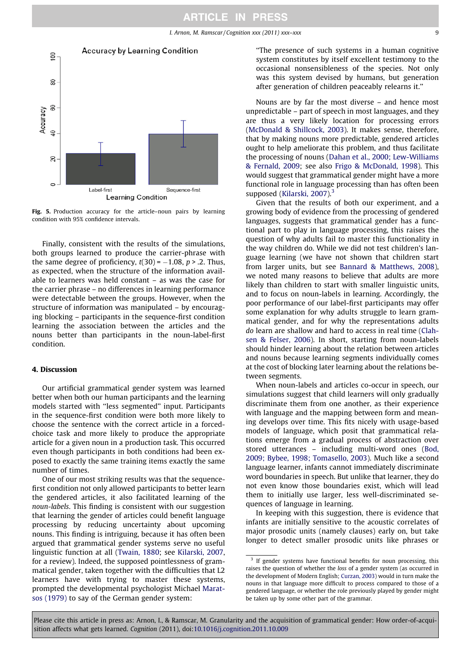I. Arnon, M. Ramscar / Cognition xxx (2011) xxx–xxx 9

<span id="page-8-0"></span>

Fig. 5. Production accuracy for the article–noun pairs by learning condition with 95% confidence intervals.

Finally, consistent with the results of the simulations, both groups learned to produce the carrier-phrase with the same degree of proficiency,  $t(30)$  =  $-1.08$ ,  $p$  > .2. Thus, as expected, when the structure of the information available to learners was held constant – as was the case for the carrier phrase – no differences in learning performance were detectable between the groups. However, when the structure of information was manipulated – by encouraging blocking – participants in the sequence-first condition learning the association between the articles and the nouns better than participants in the noun-label-first condition.

## 4. Discussion

Our artificial grammatical gender system was learned better when both our human participants and the learning models started with ''less segmented'' input. Participants in the sequence-first condition were both more likely to choose the sentence with the correct article in a forcedchoice task and more likely to produce the appropriate article for a given noun in a production task. This occurred even though participants in both conditions had been exposed to exactly the same training items exactly the same number of times.

One of our most striking results was that the sequencefirst condition not only allowed participants to better learn the gendered articles, it also facilitated learning of the noun-labels. This finding is consistent with our suggestion that learning the gender of articles could benefit language processing by reducing uncertainty about upcoming nouns. This finding is intriguing, because it has often been argued that grammatical gender systems serve no useful linguistic function at all [\(Twain, 1880](#page-12-0); see [Kilarski, 2007](#page-11-0), for a review). Indeed, the supposed pointlessness of grammatical gender, taken together with the difficulties that L2 learners have with trying to master these systems, prompted the developmental psychologist Michael [Marat](#page-12-0)[sos \(1979\)](#page-12-0) to say of the German gender system:

''The presence of such systems in a human cognitive system constitutes by itself excellent testimony to the occasional nonsensibleness of the species. Not only was this system devised by humans, but generation after generation of children peaceably relearns it.''

Nouns are by far the most diverse – and hence most unpredictable – part of speech in most languages, and they are thus a very likely location for processing errors [\(McDonald & Shillcock, 2003](#page-12-0)). It makes sense, therefore, that by making nouns more predictable, gendered articles ought to help ameliorate this problem, and thus facilitate the processing of nouns [\(Dahan et al., 2000; Lew-Williams](#page-11-0) [& Fernald, 2009;](#page-11-0) see also [Frigo & McDonald, 1998\)](#page-11-0). This would suggest that grammatical gender might have a more functional role in language processing than has often been supposed [\(Kilarski, 2007](#page-11-0)).<sup>3</sup>

Given that the results of both our experiment, and a growing body of evidence from the processing of gendered languages, suggests that grammatical gender has a functional part to play in language processing, this raises the question of why adults fail to master this functionality in the way children do. While we did not test children's language learning (we have not shown that children start from larger units, but see [Bannard & Matthews, 2008](#page-10-0)), we noted many reasons to believe that adults are more likely than children to start with smaller linguistic units, and to focus on noun-labels in learning. Accordingly, the poor performance of our label-first participants may offer some explanation for why adults struggle to learn grammatical gender, and for why the representations adults do learn are shallow and hard to access in real time [\(Clah](#page-11-0)[sen & Felser, 2006](#page-11-0)). In short, starting from noun-labels should hinder learning about the relation between articles and nouns because learning segments individually comes at the cost of blocking later learning about the relations between segments.

When noun-labels and articles co-occur in speech, our simulations suggest that child learners will only gradually discriminate them from one another, as their experience with language and the mapping between form and meaning develops over time. This fits nicely with usage-based models of language, which posit that grammatical relations emerge from a gradual process of abstraction over stored utterances – including multi-word ones ([Bod,](#page-11-0) [2009; Bybee, 1998; Tomasello, 2003](#page-11-0)). Much like a second language learner, infants cannot immediately discriminate word boundaries in speech. But unlike that learner, they do not even know those boundaries exist, which will lead them to initially use larger, less well-discriminated sequences of language in learning.

In keeping with this suggestion, there is evidence that infants are initially sensitive to the acoustic correlates of major prosodic units (namely clauses) early on, but take longer to detect smaller prosodic units like phrases or

<sup>&</sup>lt;sup>3</sup> If gender systems have functional benefits for noun processing, this raises the question of whether the loss of a gender system (as occurred in the development of Modern English; [Curzan, 2003\)](#page-11-0) would in turn make the nouns in that language more difficult to process compared to those of a gendered language, or whether the role previously played by gender might be taken up by some other part of the grammar.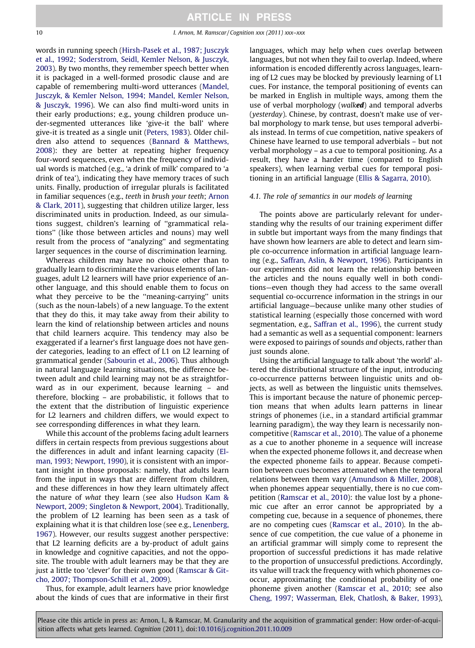words in running speech [\(Hirsh-Pasek et al., 1987; Jusczyk](#page-11-0) [et al., 1992; Soderstrom, Seidl, Kemler Nelson, & Jusczyk,](#page-11-0) [2003](#page-11-0)). By two months, they remember speech better when it is packaged in a well-formed prosodic clause and are capable of remembering multi-word utterances [\(Mandel,](#page-12-0) [Jusczyk, & Kemler Nelson, 1994; Mandel, Kemler Nelson,](#page-12-0) [& Jusczyk, 1996\)](#page-12-0). We can also find multi-word units in their early productions; e.g., young children produce under-segmented utterances like 'give-it the ball' where give-it is treated as a single unit [\(Peters, 1983\)](#page-12-0). Older children also attend to sequences ([Bannard & Matthews,](#page-10-0) [2008](#page-10-0)): they are better at repeating higher frequency four-word sequences, even when the frequency of individual words is matched (e.g., 'a drink of milk' compared to 'a drink of tea'), indicating they have memory traces of such units. Finally, production of irregular plurals is facilitated in familiar sequences (e.g., teeth in brush your teeth; [Arnon](#page-10-0) [& Clark, 2011\)](#page-10-0), suggesting that children utilize larger, less discriminated units in production. Indeed, as our simulations suggest, children's learning of ''grammatical relations'' (like those between articles and nouns) may well result from the process of ''analyzing'' and segmentating larger sequences in the course of discrimination learning.

Whereas children may have no choice other than to gradually learn to discriminate the various elements of languages, adult L2 learners will have prior experience of another language, and this should enable them to focus on what they perceive to be the "meaning-carrying" units (such as the noun-labels) of a new language. To the extent that they do this, it may take away from their ability to learn the kind of relationship between articles and nouns that child learners acquire. This tendency may also be exaggerated if a learner's first language does not have gender categories, leading to an effect of L1 on L2 learning of grammatical gender ([Sabourin et al., 2006\)](#page-12-0). Thus although in natural language learning situations, the difference between adult and child learning may not be as straightforward as in our experiment, because learning – and therefore, blocking – are probabilistic, it follows that to the extent that the distribution of linguistic experience for L2 learners and children differs, we would expect to see corresponding differences in what they learn.

While this account of the problems facing adult learners differs in certain respects from previous suggestions about the differences in adult and infant learning capacity ([El](#page-11-0)[man, 1993; Newport, 1990\)](#page-11-0), it is consistent with an important insight in those proposals: namely, that adults learn from the input in ways that are different from children, and these differences in how they learn ultimately affect the nature of what they learn (see also [Hudson Kam &](#page-11-0) [Newport, 2009; Singleton & Newport, 2004\)](#page-11-0). Traditionally, the problem of L2 learning has been seen as a task of explaining what it is that children lose (see e.g., [Lenenberg,](#page-11-0) [1967](#page-11-0)). However, our results suggest another perspective: that L2 learning deficits are a by-product of adult gains in knowledge and cognitive capacities, and not the opposite. The trouble with adult learners may be that they are just a little too 'clever' for their own good [\(Ramscar & Git](#page-12-0)[cho, 2007; Thompson-Schill et al., 2009\)](#page-12-0).

Thus, for example, adult learners have prior knowledge about the kinds of cues that are informative in their first

languages, which may help when cues overlap between languages, but not when they fail to overlap. Indeed, where information is encoded differently across languages, learning of L2 cues may be blocked by previously learning of L1 cues. For instance, the temporal positioning of events can be marked in English in multiple ways, among them the use of verbal morphology (walked) and temporal adverbs (yesterday). Chinese, by contrast, doesn't make use of verbal morphology to mark tense, but uses temporal adverbials instead. In terms of cue competition, native speakers of Chinese have learned to use temporal adverbials – but not verbal morphology – as a cue to temporal positioning. As a result, they have a harder time (compared to English speakers), when learning verbal cues for temporal positioning in an artificial language [\(Ellis & Sagarra, 2010](#page-11-0)).

#### 4.1. The role of semantics in our models of learning

The points above are particularly relevant for understanding why the results of our training experiment differ in subtle but important ways from the many findings that have shown how learners are able to detect and learn simple co-occurrence information in artificial language learning (e.g., [Saffran, Aslin, & Newport, 1996\)](#page-12-0). Participants in our experiments did not learn the relationship between the articles and the nouns equally well in both conditions—even though they had access to the same overall sequential co-occurrence information in the strings in our artificial language—because unlike many other studies of statistical learning (especially those concerned with word segmentation, e.g., [Saffran et al., 1996\)](#page-12-0), the current study had a semantic as well as a sequential component: learners were exposed to pairings of sounds and objects, rather than just sounds alone.

Using the artificial language to talk about 'the world' altered the distributional structure of the input, introducing co-occurrence patterns between linguistic units and objects, as well as between the linguistic units themselves. This is important because the nature of phonemic perception means that when adults learn patterns in linear strings of phonemes (i.e., in a standard artificial grammar learning paradigm), the way they learn is necessarily noncompetitive [\(Ramscar et al., 2010](#page-12-0)). The value of a phoneme as a cue to another phoneme in a sequence will increase when the expected phoneme follows it, and decrease when the expected phoneme fails to appear. Because competition between cues becomes attenuated when the temporal relations between them vary [\(Amundson & Miller, 2008\)](#page-10-0), when phonemes appear sequentially, there is no cue competition ([Ramscar et al., 2010\)](#page-12-0): the value lost by a phonemic cue after an error cannot be appropriated by a competing cue, because in a sequence of phonemes, there are no competing cues [\(Ramscar et al., 2010](#page-12-0)). In the absence of cue competition, the cue value of a phoneme in an artificial grammar will simply come to represent the proportion of successful predictions it has made relative to the proportion of unsuccessful predictions. Accordingly, its value will track the frequency with which phonemes cooccur, approximating the conditional probability of one phoneme given another [\(Ramscar et al., 2010;](#page-12-0) see also [Cheng, 1997; Wasserman, Elek, Chatlosh, & Baker, 1993\)](#page-11-0),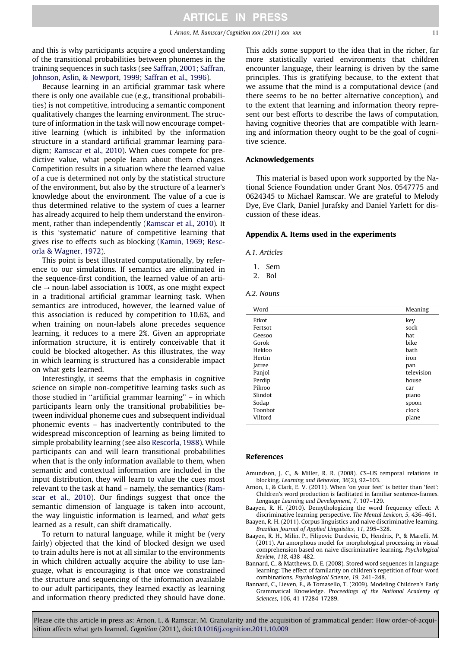<span id="page-10-0"></span>and this is why participants acquire a good understanding of the transitional probabilities between phonemes in the training sequences in such tasks (see [Saffran, 2001; Saffran,](#page-12-0) [Johnson, Aslin, & Newport, 1999; Saffran et al., 1996\)](#page-12-0).

Because learning in an artificial grammar task where there is only one available cue (e.g., transitional probabilities) is not competitive, introducing a semantic component qualitatively changes the learning environment. The structure of information in the task will now encourage competitive learning (which is inhibited by the information structure in a standard artificial grammar learning paradigm; [Ramscar et al., 2010\)](#page-12-0). When cues compete for predictive value, what people learn about them changes. Competition results in a situation where the learned value of a cue is determined not only by the statistical structure of the environment, but also by the structure of a learner's knowledge about the environment. The value of a cue is thus determined relative to the system of cues a learner has already acquired to help them understand the environment, rather than independently ([Ramscar et al., 2010\)](#page-12-0). It is this 'systematic' nature of competitive learning that gives rise to effects such as blocking ([Kamin, 1969; Resc](#page-11-0)[orla & Wagner, 1972\)](#page-11-0).

This point is best illustrated computationally, by reference to our simulations. If semantics are eliminated in the sequence-first condition, the learned value of an arti $cle \rightarrow noun-label$  association is 100%, as one might expect in a traditional artificial grammar learning task. When semantics are introduced, however, the learned value of this association is reduced by competition to 10.6%, and when training on noun-labels alone precedes sequence learning, it reduces to a mere 2%. Given an appropriate information structure, it is entirely conceivable that it could be blocked altogether. As this illustrates, the way in which learning is structured has a considerable impact on what gets learned.

Interestingly, it seems that the emphasis in cognitive science on simple non-competitive learning tasks such as those studied in ''artificial grammar learning'' – in which participants learn only the transitional probabilities between individual phoneme cues and subsequent individual phonemic events – has inadvertently contributed to the widespread misconception of learning as being limited to simple probability learning (see also [Rescorla, 1988\)](#page-12-0). While participants can and will learn transitional probabilities when that is the only information available to them, when semantic and contextual information are included in the input distribution, they will learn to value the cues most relevant to the task at hand – namely, the semantics ([Ram](#page-12-0)[scar et al., 2010](#page-12-0)). Our findings suggest that once the semantic dimension of language is taken into account, the way linguistic information is learned, and what gets learned as a result, can shift dramatically.

To return to natural language, while it might be (very fairly) objected that the kind of blocked design we used to train adults here is not at all similar to the environments in which children actually acquire the ability to use language, what is encouraging is that once we constrained the structure and sequencing of the information available to our adult participants, they learned exactly as learning and information theory predicted they should have done.

This adds some support to the idea that in the richer, far more statistically varied environments that children encounter language, their learning is driven by the same principles. This is gratifying because, to the extent that we assume that the mind is a computational device (and there seems to be no better alternative conception), and to the extent that learning and information theory represent our best efforts to describe the laws of computation, having cognitive theories that are compatible with learning and information theory ought to be the goal of cognitive science.

#### Acknowledgements

This material is based upon work supported by the National Science Foundation under Grant Nos. 0547775 and 0624345 to Michael Ramscar. We are grateful to Melody Dye, Eve Clark, Daniel Jurafsky and Daniel Yarlett for discussion of these ideas.

#### Appendix A. Items used in the experiments

#### A.1. Articles

- 1. Sem
- 2. Bol
- A.2. Nouns

| Word    | Meaning     |
|---------|-------------|
| Etkot   | key         |
| Fertsot | sock        |
| Geesoo  | hat         |
| Gorok   | <b>bike</b> |
| Hekloo  | bath        |
| Hertin  | iron        |
| Jatree  | pan         |
| Panjol  | television  |
| Perdip  | house       |
| Pikroo  | car         |
| Slindot | piano       |
| Sodap   | spoon       |
| Toonbot | clock       |
| Viltord | plane       |

#### References

- Amundson, J. C., & Miller, R. R. (2008). CS–US temporal relations in blocking. Learning and Behavior, 36(2), 92–103.
- Arnon, I., & Clark, E. V. (2011). When 'on your feet' is better than 'feet': Children's word production is facilitated in familiar sentence-frames. Language Learning and Development, 7, 107–129.
- Baayen, R. H. (2010). Demythologizing the word frequency effect: A discriminative learning perspective. The Mental Lexicon, 5, 436–461.
- Baayen, R. H. (2011). Corpus linguistics and naive discriminative learning. Brazilian Journal of Applied Linguistics, 11, 295–328.
- Baayen, R. H., Milin, P., Filipovic Durdevic, D., Hendrix, P., & Marelli, M. (2011). An amorphous model for morphological processing in visual comprehension based on naive discriminative learning. Psychological Review, 118, 438–482.
- Bannard, C., & Matthews, D. E. (2008). Stored word sequences in language learning: The effect of familarity on children's repetition of four-word combinations. Psychological Science, 19, 241–248.
- Bannard, C., Lieven, E., & Tomasello, T. (2009). Modeling Children's Early Grammatical Knowledge. Proceedings of the National Academy of Sciences, 106, 41 17284-17289.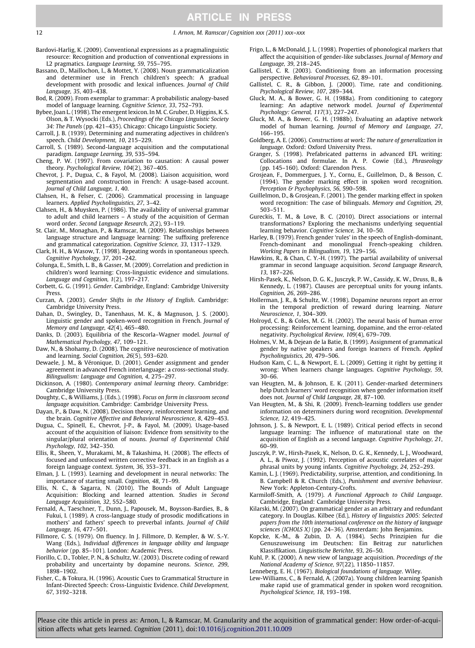- <span id="page-11-0"></span>Bardovi-Harlig, K. (2009). Conventional expressions as a pragmalinguistic resource: Recognition and production of conventional expressions in L2 pragmatics. Language Learning, 59, 755–795.
- Bassano, D., Maillochon, I., & Mottet, Y. (2008). Noun grammaticalization and determiner use in French children's speech: A gradual development with prosodic and lexical influences. Journal of Child Language, 35, 403–438.
- Bod, R. (2009). From exemplar to grammar: A probabilistic analogy-based model of language learning. Cognitive Science, 33, 752–793.
- Bybee, Joan L. (1998). The emergent lexicon. In M. C. Gruber, D. Higgins, K. S. Olson, & T. Wysocki (Eds.), Proceedings of the Chicago Linguistic Society 34: The Panels (pp. 421–435). Chicago: Chicago Linguistic Society.
- Carroll, J. B. (1939). Determining and numerating adjectives in children's speech. Child Development, 10, 215–229.
- Carroll, S. (1989). Second-language acquisition and the computational paradigm. Language Learning, 39, 535–594.
- Cheng, P. W. (1997). From covariation to causation: A causal power theory. Psychological Review, 104(2), 367–405.
- Chevrot, J. P., Dugua, C., & Fayol, M. (2008). Liaison acquisition, word segmentation and construction in French: A usage-based account. Journal of Child Language, 1, 40.
- Clahsen, H., & Felser, C. (2006). Grammatical processing in language learners. Applied Psycholinguistics, 27, 3–42.
- Clahsen, H., & Muysken, P. (1986). The availability of universal grammar to adult and child learners – A study of the acquisition of German word order. Second Language Research, 2(2), 93–119.
- St. Clair, M., Monaghan, P., & Ramscar, M. (2009). Relationships between language structure and language learning: The suffixing preference and grammatical categorization. Cognitive Science, 33, 1317–1329.
- Clark, H. H., & Wasow, T. (1998). Repeating words in spontaneous speech. Cognitive Psychology, 37, 201–242.
- Colunga, E., Smith, L. B., & Gasser, M. (2009). Correlation and prediction in children's word learning: Cross-linguistic evidence and simulations. Language and Cognition, 1(2), 197–217.
- Corbett, G. G. (1991). Gender. Cambridge, England: Cambridge University Press.
- Curzan, A. (2003). Gender Shifts in the History of English. Cambridge: Cambridge University Press.
- Dahan, D., Swingley, D., Tanenhaus, M. K., & Magnuson, J. S. (2000). Linguistic gender and spoken-word recognition in French. Journal of Memory and Language, 42(4), 465–480.
- Danks, D. (2003). Equilibria of the Rescorla–Wagner model. Journal of Mathematical Psychology, 47, 109–121.
- Daw, N., & Shohamy, D. (2008). The cognitive neuroscience of motivation and learning. Social Cognition, 26(5), 593–620.
- Dewaele, J. M., & Véronique, D. (2001). Gender assignment and gender agreement in advanced French interlanguage: a cross-sectional study. Bilingualism: Language and Cognition, 4, 275–297.
- Dickinson, A. (1980). Contemporary animal learning theory. Cambridge: Cambridge University Press.
- Doughty, C., & Williams, J. (Eds.). (1998). Focus on form in classroom second language acquisition. Cambridge: Cambridge University Press.
- Dayan, P., & Daw, N. (2008). Decision theory, reinforcement learning, and the brain. Cognitive Affective and Behavioral Neuroscience, 8, 429–453.
- Dugua, C., Spinell, E., Chevrot, J-P., & Fayol, M. (2009). Usage-based account of the acquisition of liaison: Evidence from sensitivity to the singular/plural orientation of nouns. Journal of Experimental Child Psychology, 102, 342–350.
- Ellis, R., Sheen, Y., Murakami, M., & Takashima, H. (2008). The effects of focused and unfocused written corrective feedback in an English as a foreign language context. System, 36, 353–371.
- Elman, J. L. (1993). Learning and development in neural networks: The importance of starting small. Cognition, 48, 71–99.
- Ellis, N. C., & Sagarra, N. (2010). The Bounds of Adult Language Acquisition: Blocking and learned attention. Studies in Second Language Acquisition, 32, 552–580.
- Fernald, A., Taeschner, T., Dunn, J., Papousek, M., Boysson-Bardies, B., & Fukui, I. (1989). A cross-language study of prosodic modifications in mothers' and fathers' speech to preverbal infants. Journal of Child Language, 16, 477–501.
- Fillmore, C. S. (1979). On fluency. In J. Fillmore, D. Kempler, & W. S.-Y. Wang (Eds.), Individual differences in language ability and language behavior (pp. 85–101). London: Academic Press.
- Fiorillo, C. D., Tobler, P. N., & Schultz, W. (2003). Discrete coding of reward probability and uncertainty by dopamine neurons. Science, 299, 1898–1902.
- Fisher, C., & Tokura, H. (1996). Acoustic Cues to Grammatical Structure in Infant-Directed Speech: Cross-Linguistic Evidence. Child Development, 67, 3192–3218.
- Frigo, L., & McDonald, J. L. (1998). Properties of phonological markers that affect the acquisition of gender-like subclasses. Journal of Memory and Language, 39, 218–245.
- Gallistel, C. R. (2003). Conditioning from an information processing perspective. Behavioural Processes, 62, 89–101.
- Gallistel, C. R., & Gibbon, J. (2000). Time, rate and conditioning. Psychological Review, 107, 289–344.
- Gluck, M. A., & Bower, G. H. (1988a). From conditioning to category learning: An adaptive network model. Journal of Experimental Psychology: General, 117(3), 227–247.
- Gluck, M. A., & Bower, G. H. (1988b). Evaluating an adaptive network model of human learning. Journal of Memory and Language, 27, 166–195.
- Goldberg, A. E. (2006). Constructions at work: The nature of generalization in language. Oxford: Oxford University Press.
- Granger, S. (1998). Prefabricated patterns in advanced EFL writing: Collocations and formulae. In A. P. Cowie (Ed.), Phraseology (pp. 145–160). Oxford: Clarendon Press.
- Grosjean, F., Dommergues, J. Y., Cornu, E., Guillelmon, D., & Besson, C. (1994). The gender marking effect in spoken word recognition. Perception & Psychophysics, 56, 590-598.
- Guillelmon, D., & Grosjean, F. (2001). The gender marking effect in spoken word recognition: The case of bilinguals. Memory and Cognition, 29, 503–511.
- Gureckis, T. M., & Love, B. C. (2010). Direct associations or internal transformations? Exploring the mechanisms underlying sequential learning behavior. Cognitive Science, 34, 10–50.
- Harley, B. (1979). French gender 'rules' in the speech of English-dominant, French-dominant and monolingual French-speaking children. Working Papers in Bilingualism, 19, 129–156.
- Hawkins, R., & Chan, C. Y.-H. (1997). The partial availability of universal grammar in second language acquisition. Second Language Research, 13, 187–226.
- Hirsh-Pasek, K., Nelson, D. G. K., Jusczyk, P. W., Cassidy, K. W., Druss, B., & Kennedy, L. (1987). Clauses are perceptual units for young infants. Cognition, 26, 269–286.
- Hollerman, J. R., & Schultz, W. (1998). Dopamine neurons report an error in the temporal prediction of reward during learning. Nature Neuroscience, 1, 304–309.
- Holroyd, C. B., & Coles, M. G. H. (2002). The neural basis of human error processing: Reinforcement learning, dopamine, and the error-related negativity. Psychological Review, 109(4), 679–709.
- Holmes, V. M., & Dejean de la Batie, B. (1999). Assignment of grammatical gender by native speakers and foreign learners of French. Applied Psycholinguistics, 20, 479–506.
- Hudson Kam, C. L., & Newport, E. L. (2009). Getting it right by getting it wrong: When learners change languages. Cognitive Psychology, 59, 30–66.
- van Heugten, M., & Johnson, E. K. (2011). Gender-marked determiners help Dutch learners' word recognition when gender information itself does not. Journal of Child Language, 28, 87–100.
- Van Heugten, M., & Shi, R. (2009). French-learning toddlers use gender information on determiners during word recognition. Developmental Science, 12, 419–425.
- Johnson, J. S., & Newport, E. L. (1989). Critical period effects in second language learning: The influence of maturational state on the acquisition of English as a second language. Cognitive Psychology, 21, 60–99.
- Jusczyk, P. W., Hirsh-Pasek, K., Nelson, D. G. K., Kennedy, L. J., Woodward, A. L., & Piwoz, J. (1992). Perception of acoustic correlates of major phrasal units by young infants. Cognitive Psychology, 24, 252–293.
- Kamin, L. J. (1969). Predictability, surprise, attention, and conditioning. In B. Campbell & R. Church (Eds.), Punishment and aversive behaviour. New York: Appleton-Century-Crofts.
- Karmiloff-Smith, A. (1979). A Functional Approach to Child Language. Cambridge, England: Cambridge University Press.
- Kilarski, M. (2007). On grammatical gender as an arbitrary and redundant category. In Douglas. Kilbee (Ed.), History of linguistics 2005: Selected papers from the 10th international conference on the history of language sciences (ICHOLS X) (pp. 24–36). Amsterdam: John Benjamins.
- Kopcke, K.-M., & Zubin, D. A. (1984). Sechs Prinzipien fur die Genuszuweisung im Deutschen: Ein Beitrag zur naturlichen Klassifikation. Linguistische Berichte, 93, 26–50.
- Kuhl, P. K. (2000). A new view of language acquisition. Proceedings of the National Academy of Science, 97(22), 11850–11857.
- Lenneberg, E. H. (1967). Biological foundations of language. Wiley.
- Lew-Williams, C., & Fernald, A. (2007a). Young children learning Spanish make rapid use of grammatical gender in spoken word recognition. Psychological Science, 18, 193–198.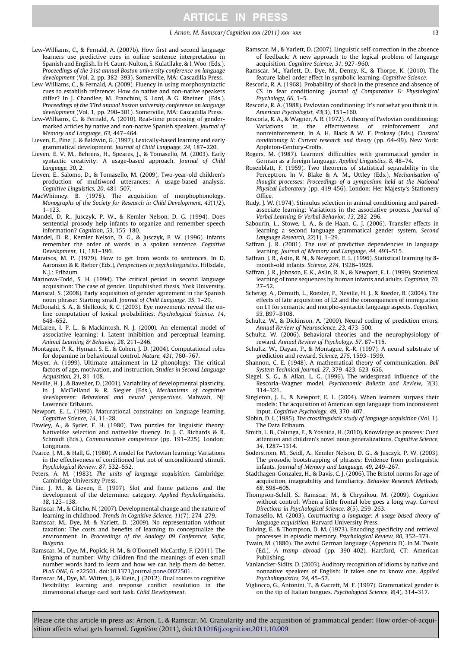- <span id="page-12-0"></span>Lew-Williams, C., & Fernald, A. (2007b). How first and second language learners use predictive cues in online sentence interpretation in Spanish and English. In H. Caunt-Nulton, S. Kulatilake, & I. Woo (Eds.). Proceedings of the 31st annual Boston university conference on language development (Vol. 2, pp. 382–393). Somerville, MA: Cascadilla Press.
- Lew-Williams, C., & Fernald, A. (2009). Fluency in using morphosyntactic cues to establish reference: How do native and non-native speakers differ? In J. Chandlee, M. Franchini, S. Lord, & G. Rheiner (Eds.). Proceedings of the 33rd annual boston university conference on language development (Vol. 1, pp. 290–301). Somerville, MA: Cascadilla Press.
- Lew-Williams, C., & Fernald, A. (2010). Real-time processing of gendermarked articles by native and non-native Spanish speakers. Journal of Memory and Language, 63, 447–464.
- Lieven, E., Pine, J., & Baldwin, G. (1997). Lexically-based learning and early grammatical development. Journal of Child Language, 24, 187–220.
- Lieven, E. V. M., Behrens, H., Speares, J., & Tomasello, M. (2003). Early syntactic creativity: A usage-based approach. Journal of Child Language, 30, 2.
- Lieven, E., Salomo, D., & Tomasello, M. (2009). Two-year-old children's production of multiword utterances: A usage-based analysis. Cognitive Linguistics, 20, 481–507.
- MacWhinney, B. (1978). The acquisition of morphophonology. Monographs of the Society for Research in Child Development, 43(1/2), 1–123.
- Mandel, D. R., Jusczyk, P. W., & Kemler Nelson, D. G. (1994). Does sentential prosody help infants to organize and remember speech information? Cognition, 53, 155–180.
- Mandel, D. R., Kemler Nelson, D. G., & Jusczyk, P. W. (1996). Infants remember the order of words in a spoken sentence. Cognitive Development, 11, 181–196.
- Maratsos, M. P. (1979). How to get from words to sentences. In D. Aaronson & R. Rieber (Eds.), Perspectives in psycholinguistics. Hillsdale, N.J.: Erlbaum.
- Marinova-Todd, S. H. (1994). The critical period in second language acquisition: The case of gender. Unpublished thesis, York University.
- Mariscal, S. (2008). Early acquisition of gender agreement in the Spanish noun phrase: Starting small. Journal of Child Language, 35, 1–29.
- McDonald, S. A., & Shillcock, R. C. (2003). Eye movements reveal the online computation of lexical probabilities. Psychological Science, 14, 648–652.
- McLaren, I. P. L., & Mackintosh, N. J. (2000). An elemental model of associative learning: I. Latent inhibition and perceptual learning. Animal Learning & Behavior, 28, 211–246.
- Montague, P. R., Hyman, S. E., & Cohen, J. D. (2004). Computational roles for dopamine in behavioural control. Nature, 431, 760–767.
- Moyer, A. (1999). Ultimate attainment in L2 phonology: The critical factors of age, motivation, and instruction. Studies in Second Language Acquisition, 21, 81–108.
- Neville, H. J., & Bavelier, D. (2001). Variability of developmental plasticity. In J. McClelland & R. Siegler (Eds.), Mechanisms of cognitive development: Behavioral and neural perspectives. Mahwah, NJ: Lawrence Erlbaum.
- Newport, E. L. (1990). Maturational constraints on language learning. Cognitive Science, 14, 11–28.
- Pawley, A., & Syder, F. H. (1980). Two puzzles for linguistic theory: Nativelike selection and nativelike fluency. In J. C. Richards & R. Schmidt (Eds.), Communicative competence (pp. 191–225). London: Longmans.
- Pearce, J. M., & Hall, G. (1980). A model for Pavlovian learning: Variations in the effectiveness of conditioned but not of unconditioned stimuli. Psychological Review, 87, 532–552.
- Peters, A. M. (1983). The units of language acquisition. Cambridge: Cambridge University Press.
- Pine, J. M., & Lieven, E. (1997). Slot and frame patterns and the development of the determiner category. Applied Psycholinguistics, 18, 123–138.
- Ramscar, M., & Gitcho, N. (2007). Developmental change and the nature of learning in childhood. Trends in Cognitive Science, 11(7), 274–279.
- Ramscar, M., Dye, M. & Yarlett, D. (2009). No representation without taxation: The costs and benefits of learning to conceptualize the environment. In Proceedings of the Analogy 09 Conference, Sofia, Bulgaria.
- Ramscar, M., Dye, M., Popick, H. M., & O'Donnell-McCarthy, F. (2011). The Enigma of number: Why children find the meanings of even small number words hard to learn and how we can help them do better. PLoS ONE, 6, e22501. doi:[10.1371/journal.pone.0022501.](http://dx.doi.org/10.1371/journal.pone.0022501)
- Ramscar, M., Dye, M., Witten, J., & Klein, J. (2012). Dual routes to cognitive flexibility: learning and response conflict resolution in the dimensional change card sort task. Child Development.
- Ramscar, M., & Yarlett, D. (2007). Linguistic self-correction in the absence of feedback: A new approach to the logical problem of language acquisition. Cognitive Science, 31, 927–960.
- Ramscar, M., Yarlett, D., Dye, M., Denny, K., & Thorpe, K. (2010). The feature-label-order effect in symbolic learning. Cognitive Science.
- Rescorla, R. A. (1968). Probability of shock in the presence and absence of CS in fear conditioning. Journal of Comparative & Physiological Psychology, 66, 1–5.
- Rescorla, R. A. (1988). Pavlovian conditioning: It's not what you think it is. American Psychologist, 43(3), 151–160.
- Rescorla, R. A., & Wagner, A. R. (1972). A theory of Pavlovian conditioning: Variations in the effectiveness of reinforcement and nonreinforcement. In A. H. Black & W. F. Prokasy (Eds.), Classical conditioning II: Current research and theory (pp. 64-99). New York: Appleton-Century-Crofts.
- Rogers, M. (1987). Learners' difficulties with grammatical gender in German as a foreign language. Applied Linguistics, 8, 48–74.
- Rosenblatt, F. (1959). Two theorems of statistical separability in the Perceptron. In V. Blake & A. M., Uttley (Eds.), Mechanisation of thought processes: Proceedings of a symposium held at the National Physical Laboratory (pp. 419-456). London: Her Majesty's Stationery **Office**
- Rudy, J. W. (1974). Stimulus selection in animal conditioning and pairedassociate learning: Variations in the associative process. Journal of Verbal Learning & Verbal Behavior, 13, 282–296.
- Sabourin, L., Stowe, L. A., & de Haan, G. J. (2006). Transfer effects in learning a second language grammatical gender system. Second Language Research, 22(1), 1–29.
- Saffran, J. R. (2001). The use of predictive dependencies in language learning. Journal of Memory and Language, 44, 493–515.
- Saffran, J. R., Aslin, R. N., & Newport, E. L. (1996). Statistical learning by 8 month-old infants. Science, 274, 1926–1928.
- Saffran, J. R., Johnson, E. K., Aslin, R. N., & Newport, E. L. (1999). Statistical learning of tone sequences by human infants and adults. Cognition, 70, 27–52.
- Scherag, A., Demuth, L., Roesler, F., Neville, H. J., & Roeder, B. (2004). The effects of late acquisition of L2 and the consequences of immigration on L1 for semantic and morpho-syntactic language aspects. Cognition, 93, B97–B108.
- Schultz, W., & Dickinson, A. (2000). Neural coding of prediction errors. Annual Review of Neuroscience, 23, 473–500.
- Schultz, W. (2006). Behavioral theories and the neurophysiology of reward. Annual Review of Psychology, 57, 87–115.
- Schultz, W., Dayan, P., & Montague, R.-R. (1997). A neural substrate of prediction and reward. Science, 275, 1593–1599.
- Shannon, C. E. (1948). A mathematical theory of communication. Bell System Technical Journal, 27, 379–423. 623–656.
- Siegel, S. G., & Allan, L. G. (1996). The widespread influence of the Rescorla–Wagner model. Psychonomic Bulletin and Review, 3(3), 314–321.
- Singleton, J. L., & Newport, E. L. (2004). When learners surpass their models: The acquisition of American sign language from inconsistent input. Cognitive Psychology, 49, 370–407.
- Slobin, D. I. (1985). The crosslinguistic study of language acquisition (Vol. 1). The Data Erlbaum.
- Smith, L. B., Colunga, E., & Yoshida, H. (2010). Knowledge as process: Cued attention and children's novel noun generalizations. Cognitive Science, 34, 1287–1314.
- Soderstrom, M., Seidl, A., Kemler Nelson, D. G., & Jusczyk, P. W. (2003). The prosodic bootstrapping of phrases: Evidence from prelinguistic infants. Journal of Memory and Language, 49, 249–267.
- Stadthagen-Gonzalez, H., & Davis, C. J. (2006). The Bristol norms for age of acquisition, imageability and familiarity. Behavior Research Methods, 68, 598–605.
- Thompson-Schill, S., Ramscar, M., & Chrysikou, M. (2009). Cognition without control: When a little frontal lobe goes a long way. Current Directions in Psychological Science, 8(5), 259–263.
- Tomasello, M. (2003). Constructing a language: A usage-based theory of language acquisition. Harvard University Press.
- Tulving, E., & Thompson, D. M. (1973). Encoding specificity and retrieval processes in episodic memory. Psychological Review, 80, 352–373.
- Twain, M. (1880). The awful German language (Appendix D). In M. Twain (Ed.), A tramp abroad (pp. 390–402). Hartford, CT: American Publishing.
- Vanlancker-Sidits, D. (2003). Auditory recognition of idioms by native and nonnative speakers of English: It takes one to know one. Applied Psycholinguistics, 24, 45–57.
- Vigliocco, G., Antonini, T., & Garrett, M. F. (1997). Grammatical gender is on the tip of Italian tongues. Psychological Science, 8(4), 314–317.